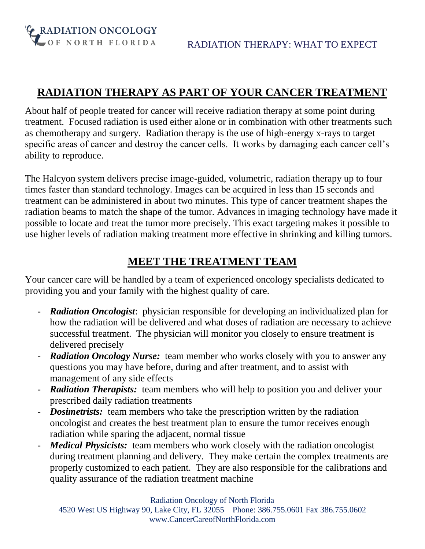OF NORTH FLORIDA

**G** RADIATION ONCOLOGY

### **RADIATION THERAPY AS PART OF YOUR CANCER TREATMENT**

About half of people treated for cancer will receive radiation therapy at some point during treatment. Focused radiation is used either alone or in combination with other treatments such as chemotherapy and surgery. Radiation therapy is the use of high-energy x-rays to target specific areas of cancer and destroy the cancer cells. It works by damaging each cancer cell's ability to reproduce.

The Halcyon system delivers precise image-guided, volumetric, radiation therapy up to four times faster than standard technology. Images can be acquired in less than 15 seconds and treatment can be administered in about two minutes. This type of cancer treatment shapes the radiation beams to match the shape of the tumor. Advances in imaging technology have made it possible to locate and treat the tumor more precisely. This exact targeting makes it possible to use higher levels of radiation making treatment more effective in shrinking and killing tumors.

#### **MEET THE TREATMENT TEAM**

Your cancer care will be handled by a team of experienced oncology specialists dedicated to providing you and your family with the highest quality of care.

- *Radiation Oncologist*: physician responsible for developing an individualized plan for how the radiation will be delivered and what doses of radiation are necessary to achieve successful treatment. The physician will monitor you closely to ensure treatment is delivered precisely
- *Radiation Oncology Nurse:* team member who works closely with you to answer any questions you may have before, during and after treatment, and to assist with management of any side effects
- *Radiation Therapists:* team members who will help to position you and deliver your prescribed daily radiation treatments
- *Dosimetrists:* team members who take the prescription written by the radiation oncologist and creates the best treatment plan to ensure the tumor receives enough radiation while sparing the adjacent, normal tissue
- *Medical Physicists:* team members who work closely with the radiation oncologist during treatment planning and delivery. They make certain the complex treatments are properly customized to each patient. They are also responsible for the calibrations and quality assurance of the radiation treatment machine

Radiation Oncology of North Florida

4520 West US Highway 90, Lake City, FL 32055 Phone: 386.755.0601 Fax 386.755.0602 www.CancerCareofNorthFlorida.com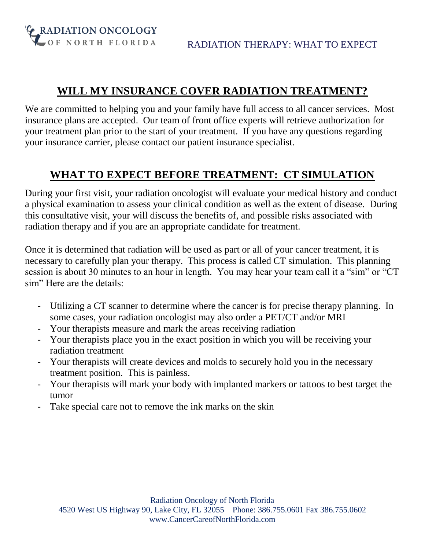**G** RADIATION ONCOLOGY LOF NORTH FLORIDA

#### **WILL MY INSURANCE COVER RADIATION TREATMENT?**

We are committed to helping you and your family have full access to all cancer services. Most insurance plans are accepted. Our team of front office experts will retrieve authorization for your treatment plan prior to the start of your treatment. If you have any questions regarding your insurance carrier, please contact our patient insurance specialist.

# **WHAT TO EXPECT BEFORE TREATMENT: CT SIMULATION**

During your first visit, your radiation oncologist will evaluate your medical history and conduct a physical examination to assess your clinical condition as well as the extent of disease. During this consultative visit, your will discuss the benefits of, and possible risks associated with radiation therapy and if you are an appropriate candidate for treatment.

Once it is determined that radiation will be used as part or all of your cancer treatment, it is necessary to carefully plan your therapy. This process is called CT simulation. This planning session is about 30 minutes to an hour in length. You may hear your team call it a "sim" or "CT sim" Here are the details:

- Utilizing a CT scanner to determine where the cancer is for precise therapy planning. In some cases, your radiation oncologist may also order a PET/CT and/or MRI
- Your therapists measure and mark the areas receiving radiation
- Your therapists place you in the exact position in which you will be receiving your radiation treatment
- Your therapists will create devices and molds to securely hold you in the necessary treatment position. This is painless.
- Your therapists will mark your body with implanted markers or tattoos to best target the tumor
- Take special care not to remove the ink marks on the skin